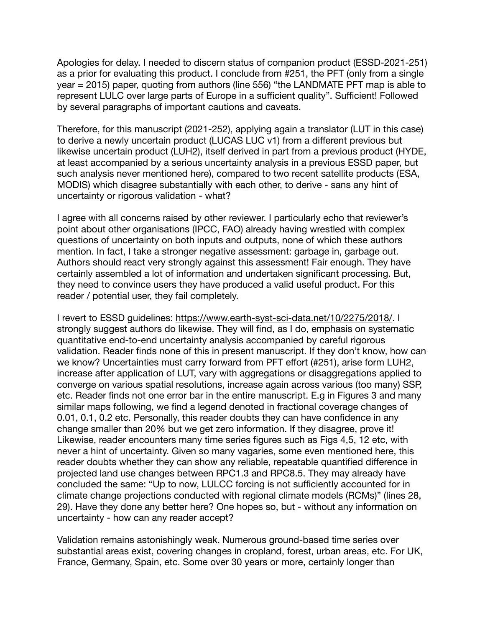Apologies for delay. I needed to discern status of companion product (ESSD-2021-251) as a prior for evaluating this product. I conclude from #251, the PFT (only from a single year = 2015) paper, quoting from authors (line 556) "the LANDMATE PFT map is able to represent LULC over large parts of Europe in a sufficient quality". Sufficient! Followed by several paragraphs of important cautions and caveats.

Therefore, for this manuscript (2021-252), applying again a translator (LUT in this case) to derive a newly uncertain product (LUCAS LUC v1) from a different previous but likewise uncertain product (LUH2), itself derived in part from a previous product (HYDE, at least accompanied by a serious uncertainty analysis in a previous ESSD paper, but such analysis never mentioned here), compared to two recent satellite products (ESA, MODIS) which disagree substantially with each other, to derive - sans any hint of uncertainty or rigorous validation - what?

I agree with all concerns raised by other reviewer. I particularly echo that reviewer's point about other organisations (IPCC, FAO) already having wrestled with complex questions of uncertainty on both inputs and outputs, none of which these authors mention. In fact, I take a stronger negative assessment: garbage in, garbage out. Authors should react very strongly against this assessment! Fair enough. They have certainly assembled a lot of information and undertaken significant processing. But, they need to convince users they have produced a valid useful product. For this reader / potential user, they fail completely.

I revert to ESSD guidelines: <https://www.earth-syst-sci-data.net/10/2275/2018/>. I strongly suggest authors do likewise. They will find, as I do, emphasis on systematic quantitative end-to-end uncertainty analysis accompanied by careful rigorous validation. Reader finds none of this in present manuscript. If they don't know, how can we know? Uncertainties must carry forward from PFT effort (#251), arise form LUH2, increase after application of LUT, vary with aggregations or disaggregations applied to converge on various spatial resolutions, increase again across various (too many) SSP, etc. Reader finds not one error bar in the entire manuscript. E.g in Figures 3 and many similar maps following, we find a legend denoted in fractional coverage changes of 0.01, 0.1, 0.2 etc. Personally, this reader doubts they can have confidence in any change smaller than 20% but we get zero information. If they disagree, prove it! Likewise, reader encounters many time series figures such as Figs 4,5, 12 etc, with never a hint of uncertainty. Given so many vagaries, some even mentioned here, this reader doubts whether they can show any reliable, repeatable quantified difference in projected land use changes between RPC1.3 and RPC8.5. They may already have concluded the same: "Up to now, LULCC forcing is not sufficiently accounted for in climate change projections conducted with regional climate models (RCMs)" (lines 28, 29). Have they done any better here? One hopes so, but - without any information on uncertainty - how can any reader accept?

Validation remains astonishingly weak. Numerous ground-based time series over substantial areas exist, covering changes in cropland, forest, urban areas, etc. For UK, France, Germany, Spain, etc. Some over 30 years or more, certainly longer than